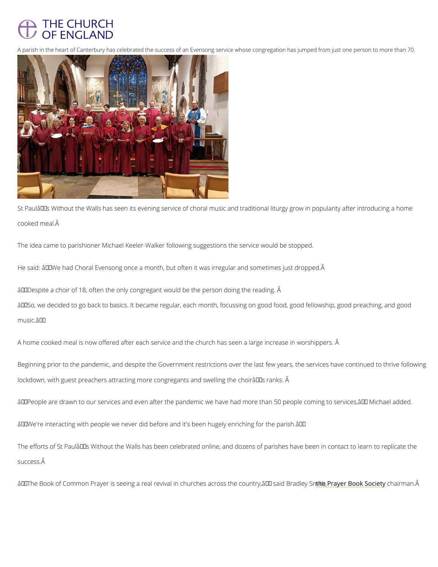

A parish in the heart of Canterbury has celebrated the success of an Evensong service whose congregati

St Paulâ $\epsilon$ ™s Without the Walls has seen its evening service of choral music and traditional I cooked meal.

The idea came to parishioner Michael Keeler-Walker following suggestions the service would

He said:  $\hat{a} \in \infty$  We had Choral Evensong once a month, but often it was irregular and sometime.

 $\hat{a} \in \infty$  Despite a choir of 18, often the only congregant would be the person doing the reading.  $\hat{a} \in \infty$  So, we decided to go back to basics. It became regular, each month, focussing on good f  $m$ usic.  $\hat{a} \in \bullet$ 

A home cooked meal is now offered after each service and the church has seen a large increase in the second to

Beginning prior to the pandemic, and despite the Government restrictions over the last few y lockdown, with guest preachers attracting more congregants and swelling the choirâ $\in$  TMs rank

 $\hat{a} \in \infty$  People are drawn to our services and even after the pandemic we have had more than 50

 $\hat{a} \in \infty$  We're interacting with people we never did before and it's been hugely enriching for the

The efforts of St Paul's Without the Walls has been celebrated online, and dozens of pari success.  $\hat{A}$ 

"The Book of Common Prayer is seeing a real revival in church<u>ehseaPrasyerthBoock</u>onGhnoaooipoenGongGon•.Â